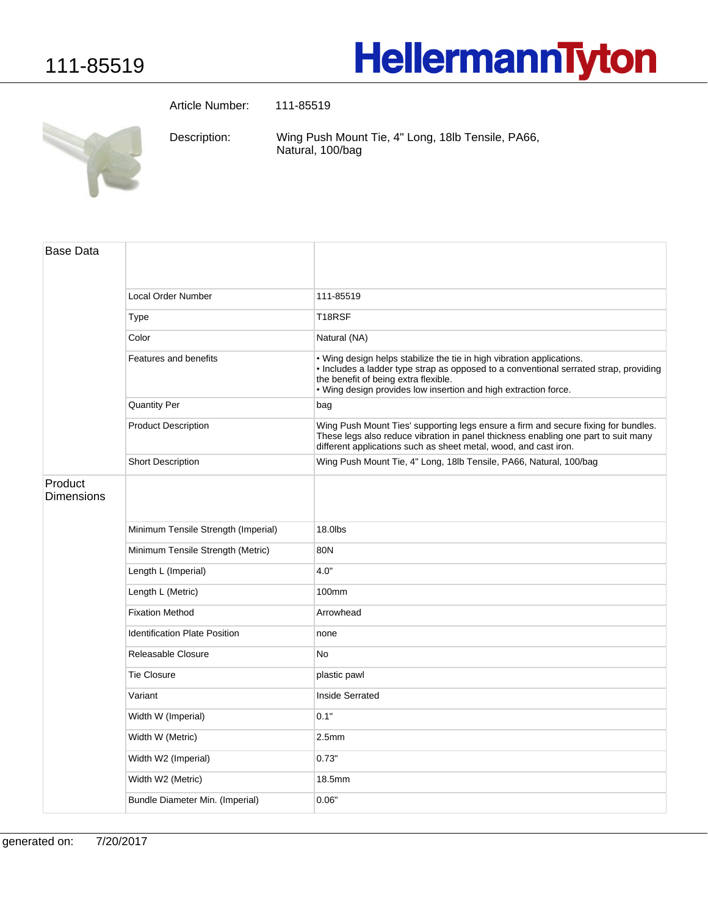## **HellermannTyton**

Article Number: 111-85519

Wing Push Mount Tie, 4" Long, 18lb Tensile, PA66, Natural, 100/bag Description:

| <b>Base Data</b>      |                                      |                                                                                                                                                                                                                                                                           |
|-----------------------|--------------------------------------|---------------------------------------------------------------------------------------------------------------------------------------------------------------------------------------------------------------------------------------------------------------------------|
|                       | Local Order Number                   | 111-85519                                                                                                                                                                                                                                                                 |
|                       | <b>Type</b>                          | T <sub>18</sub> RSF                                                                                                                                                                                                                                                       |
|                       | Color                                | Natural (NA)                                                                                                                                                                                                                                                              |
|                       | Features and benefits                | . Wing design helps stabilize the tie in high vibration applications.<br>. Includes a ladder type strap as opposed to a conventional serrated strap, providing<br>the benefit of being extra flexible.<br>. Wing design provides low insertion and high extraction force. |
|                       | <b>Quantity Per</b>                  | bag                                                                                                                                                                                                                                                                       |
|                       | <b>Product Description</b>           | Wing Push Mount Ties' supporting legs ensure a firm and secure fixing for bundles.<br>These legs also reduce vibration in panel thickness enabling one part to suit many<br>different applications such as sheet metal, wood, and cast iron.                              |
|                       | <b>Short Description</b>             | Wing Push Mount Tie, 4" Long, 18lb Tensile, PA66, Natural, 100/bag                                                                                                                                                                                                        |
| Product<br>Dimensions |                                      |                                                                                                                                                                                                                                                                           |
|                       | Minimum Tensile Strength (Imperial)  | 18.0lbs                                                                                                                                                                                                                                                                   |
|                       | Minimum Tensile Strength (Metric)    | 80N                                                                                                                                                                                                                                                                       |
|                       | Length L (Imperial)                  | 4.0"                                                                                                                                                                                                                                                                      |
|                       | Length L (Metric)                    | 100mm                                                                                                                                                                                                                                                                     |
|                       | <b>Fixation Method</b>               | Arrowhead                                                                                                                                                                                                                                                                 |
|                       | <b>Identification Plate Position</b> | none                                                                                                                                                                                                                                                                      |
|                       | Releasable Closure                   | No                                                                                                                                                                                                                                                                        |
|                       | <b>Tie Closure</b>                   | plastic pawl                                                                                                                                                                                                                                                              |
|                       | Variant                              | Inside Serrated                                                                                                                                                                                                                                                           |
|                       | Width W (Imperial)                   | 0.1"                                                                                                                                                                                                                                                                      |
|                       | Width W (Metric)                     | 2.5 <sub>mm</sub>                                                                                                                                                                                                                                                         |
|                       | Width W2 (Imperial)                  | 0.73"                                                                                                                                                                                                                                                                     |
|                       | Width W2 (Metric)                    | 18.5mm                                                                                                                                                                                                                                                                    |
|                       | Bundle Diameter Min. (Imperial)      | 0.06"                                                                                                                                                                                                                                                                     |